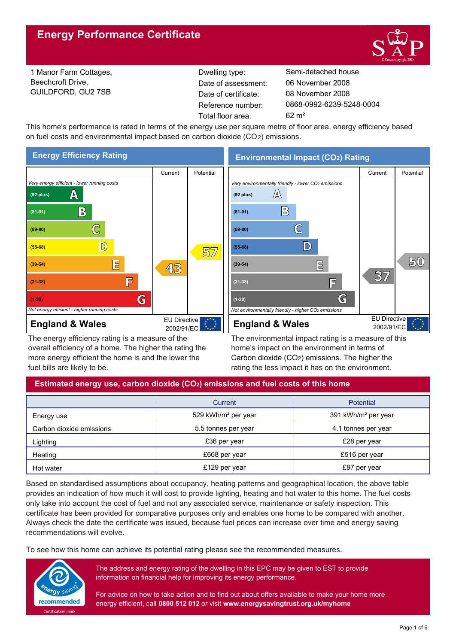

1 Manor Farm Cottages, Beechcroft Drive, GUILDFORD, GU2 7SB

Reference number: Date of certificate: Total floor area: 62 m² Date of assessment:

Dwelling type: Semi-detached house 0868-0992-6239-5248-0004 08 November 2008 06 November 2008

This home's performance is rated in terms of the energy use per square metre of floor area, energy efficiency based on fuel costs and environmental impact based on carbon dioxide (CO2) emissions.



The energy efficiency rating is a measure of the overall efficiency of a home. The higher the rating the more energy efficient the home is and the lower the fuel bills are likely to be.

**Environmental Impact (CO2) Rating**



The environmental impact rating is a measure of this home's impact on the environment in terms of Carbon dioxide (CO2) emissions. The higher the rating the less impact it has on the environment.

# **Estimated energy use, carbon dioxide (CO2) emissions and fuel costs of this home**

|                          | Current                         | <b>Potential</b>                |
|--------------------------|---------------------------------|---------------------------------|
| Energy use               | 529 kWh/m <sup>2</sup> per year | 391 kWh/m <sup>2</sup> per year |
| Carbon dioxide emissions | 5.5 tonnes per year             | 4.1 tonnes per year             |
| Lighting                 | £36 per year                    | £28 per year                    |
| Heating                  | £668 per year                   | £516 per year                   |
| Hot water                | £129 per year                   | £97 per year                    |

Based on standardised assumptions about occupancy, heating patterns and geographical location, the above table provides an indication of how much it will cost to provide lighting, heating and hot water to this home. The fuel costs only take into account the cost of fuel and not any associated service, maintenance or safety inspection. This certificate has been provided for comparative purposes only and enables one home to be compared with another. Always check the date the certificate was issued, because fuel prices can increase over time and energy saving recommendations will evolve.

To see how this home can achieve its potential rating please see the recommended measures.



The address and energy rating of the dwelling in this EPC may be given to EST to provide information on financial help for improving its energy performance.

For advice on how to take action and to find out about offers available to make your home more energy efficient, call **0800 512 012** or visit **www.energysavingtrust.org.uk/myhome**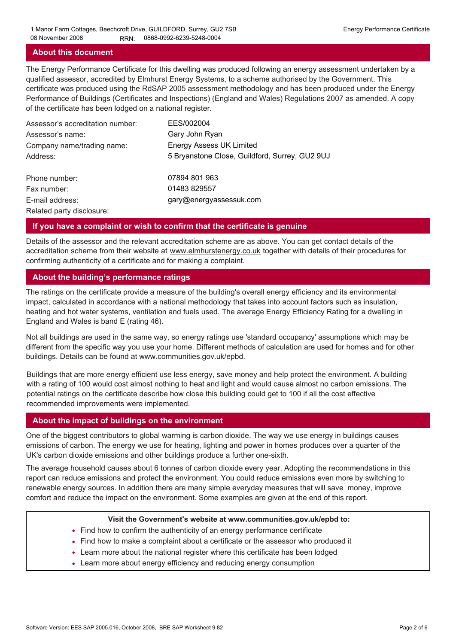## **About this document**

The Energy Performance Certificate for this dwelling was produced following an energy assessment undertaken by a qualified assessor, accredited by Elmhurst Energy Systems, to a scheme authorised by the Government. This certificate was produced using the RdSAP 2005 assessment methodology and has been produced under the Energy Performance of Buildings (Certificates and Inspections) (England and Wales) Regulations 2007 as amended. A copy of the certificate has been lodged on a national register.

| Assessor's accreditation number: | EES/002004                                     |
|----------------------------------|------------------------------------------------|
| Assessor's name:                 | Gary John Ryan                                 |
| Company name/trading name:       | <b>Energy Assess UK Limited</b>                |
| Address:                         | 5 Bryanstone Close, Guildford, Surrey, GU2 9UJ |
| Phone number:                    | 07894 801 963                                  |
| Fax number:                      | 01483 829557                                   |
| E-mail address:                  | gary@energyassessuk.com                        |
| Related party disclosure:        |                                                |

## **If you have a complaint or wish to confirm that the certificate is genuine**

Details of the assessor and the relevant accreditation scheme are as above. You can get contact details of the accreditation scheme from their website at www.elmhurstenergy.co.uk together with details of their procedures for confirming authenticity of a certificate and for making a complaint.

## **About the building's performance ratings**

The ratings on the certificate provide a measure of the building's overall energy efficiency and its environmental impact, calculated in accordance with a national methodology that takes into account factors such as insulation, heating and hot water systems, ventilation and fuels used. The average Energy Efficiency Rating for a dwelling in England and Wales is band E (rating 46).

Not all buildings are used in the same way, so energy ratings use 'standard occupancy' assumptions which may be different from the specific way you use your home. Different methods of calculation are used for homes and for other buildings. Details can be found at www.communities.gov.uk/epbd.

Buildings that are more energy efficient use less energy, save money and help protect the environment. A building with a rating of 100 would cost almost nothing to heat and light and would cause almost no carbon emissions. The potential ratings on the certificate describe how close this building could get to 100 if all the cost effective recommended improvements were implemented.

#### **About the impact of buildings on the environment**

One of the biggest contributors to global warming is carbon dioxide. The way we use energy in buildings causes emissions of carbon. The energy we use for heating, lighting and power in homes produces over a quarter of the UK's carbon dioxide emissions and other buildings produce a further one-sixth.

The average household causes about 6 tonnes of carbon dioxide every year. Adopting the recommendations in this report can reduce emissions and protect the environment. You could reduce emissions even more by switching to renewable energy sources. In addition there are many simple everyday measures that will save money, improve comfort and reduce the impact on the environment. Some examples are given at the end of this report.

#### **Visit the Government's website at www.communities.gov.uk/epbd to:**

- Find how to confirm the authenticity of an energy performance certificate
- Find how to make a complaint about a certificate or the assessor who produced it •
- Learn more about the national register where this certificate has been lodged •
- Learn more about energy efficiency and reducing energy consumption •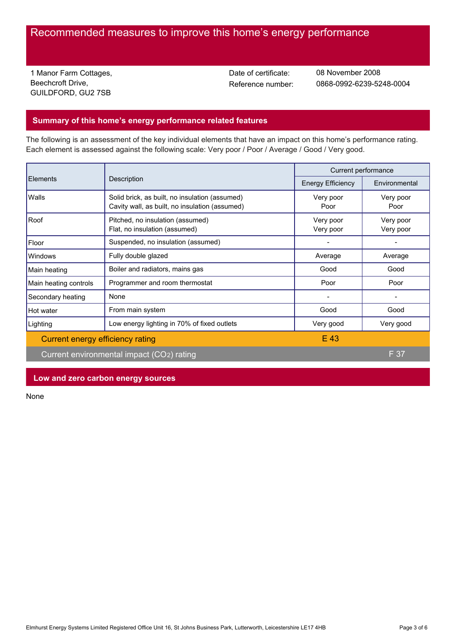# Recommended measures to improve this home's energy performance

1 Manor Farm Cottages, Beechcroft Drive, GUILDFORD, GU2 7SB

Date of certificate:

Reference number: 0868-0992-6239-5248-0004 08 November 2008

# **Summary of this home's energy performance related features**

The following is an assessment of the key individual elements that have an impact on this home's performance rating. Each element is assessed against the following scale: Very poor / Poor / Average / Good / Very good.

| <b>Elements</b>                  | Description                                                                                      | Current performance      |                        |
|----------------------------------|--------------------------------------------------------------------------------------------------|--------------------------|------------------------|
|                                  |                                                                                                  | <b>Energy Efficiency</b> | Environmental          |
| Walls                            | Solid brick, as built, no insulation (assumed)<br>Cavity wall, as built, no insulation (assumed) | Very poor<br>Poor        | Very poor<br>Poor      |
| Roof                             | Pitched, no insulation (assumed)<br>Flat, no insulation (assumed)                                | Very poor<br>Very poor   | Very poor<br>Very poor |
| Floor                            | Suspended, no insulation (assumed)                                                               |                          |                        |
| <b>Windows</b>                   | Fully double glazed                                                                              | Average                  | Average                |
| Main heating                     | Boiler and radiators, mains gas                                                                  | Good                     | Good                   |
| Main heating controls            | Programmer and room thermostat                                                                   | Poor                     | Poor                   |
| Secondary heating                | None                                                                                             |                          |                        |
| Hot water                        | From main system                                                                                 | Good                     | Good                   |
| Lighting                         | Low energy lighting in 70% of fixed outlets                                                      | Very good                | Very good              |
| Current energy efficiency rating |                                                                                                  | E 43                     |                        |
|                                  | Current environmental impact (CO2) rating                                                        |                          | F 37                   |

# **Low and zero carbon energy sources**

None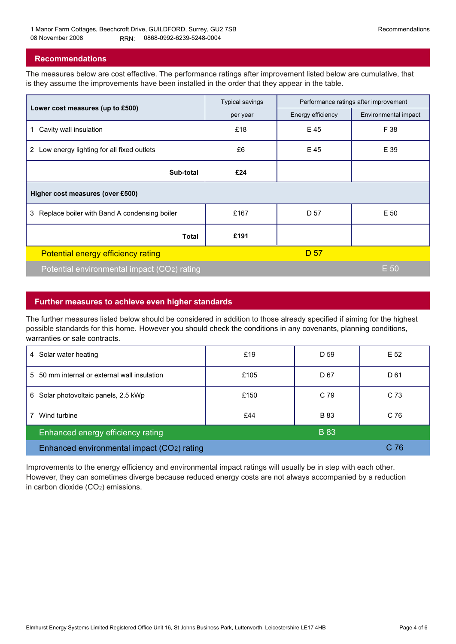## **Recommendations**

The measures below are cost effective. The performance ratings after improvement listed below are cumulative, that is they assume the improvements have been installed in the order that they appear in the table.

|                                                           | <b>Typical savings</b> | Performance ratings after improvement |                      |  |  |  |
|-----------------------------------------------------------|------------------------|---------------------------------------|----------------------|--|--|--|
| Lower cost measures (up to £500)                          | per year               | Energy efficiency                     | Environmental impact |  |  |  |
| Cavity wall insulation<br>$\mathbf 1$                     | £18                    | E 45                                  | F 38                 |  |  |  |
| Low energy lighting for all fixed outlets<br>$\mathbf{2}$ | £6                     | E 45                                  | E 39                 |  |  |  |
| Sub-total                                                 | £24                    |                                       |                      |  |  |  |
| Higher cost measures (over £500)                          |                        |                                       |                      |  |  |  |
| Replace boiler with Band A condensing boiler<br>3         | £167                   | D 57                                  | E 50                 |  |  |  |
| Total                                                     | £191                   |                                       |                      |  |  |  |
| Potential energy efficiency rating                        |                        | D 57                                  |                      |  |  |  |
| Potential environmental impact (CO2) rating               |                        |                                       | E 50                 |  |  |  |

## **Further measures to achieve even higher standards**

The further measures listed below should be considered in addition to those already specified if aiming for the highest possible standards for this home. However you should check the conditions in any covenants, planning conditions, warranties or sale contracts.

| Solar water heating<br>4                         | £19  | D 59        | E 52            |
|--------------------------------------------------|------|-------------|-----------------|
| 5 50 mm internal or external wall insulation     | £105 | D 67        | D 61            |
| Solar photovoltaic panels, 2.5 kWp<br>6          | £150 | C 79        | C 73            |
| Wind turbine                                     | £44  | <b>B</b> 83 | C <sub>76</sub> |
| <b>B</b> 83<br>Enhanced energy efficiency rating |      |             |                 |
| Enhanced environmental impact (CO2) rating       |      |             | C 76            |

Improvements to the energy efficiency and environmental impact ratings will usually be in step with each other. However, they can sometimes diverge because reduced energy costs are not always accompanied by a reduction in carbon dioxide (CO2) emissions.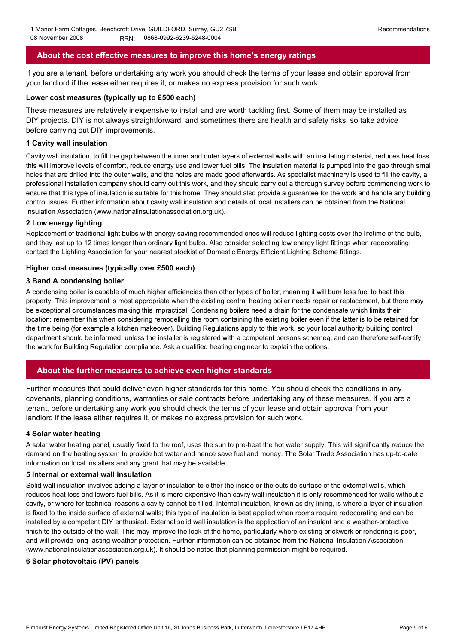# **About the cost effective measures to improve this home's energy ratings**

If you are a tenant, before undertaking any work you should check the terms of your lease and obtain approval from your landlord if the lease either requires it, or makes no express provision for such work.

#### **Lower cost measures (typically up to £500 each)**

These measures are relatively inexpensive to install and are worth tackling first. Some of them may be installed as DIY projects. DIY is not always straightforward, and sometimes there are health and safety risks, so take advice before carrying out DIY improvements.

#### **1 Cavity wall insulation**

Cavity wall insulation, to fill the gap between the inner and outer layers of external walls with an insulating material, reduces heat loss; this will improve levels of comfort, reduce energy use and lower fuel bills. The insulation material is pumped into the gap through small holes that are drilled into the outer walls, and the holes are made good afterwards. As specialist machinery is used to fill the cavity, a professional installation company should carry out this work, and they should carry out a thorough survey before commencing work to ensure that this type of insulation is suitable for this home. They should also provide a guarantee for the work and handle any building control issues. Further information about cavity wall insulation and details of local installers can be obtained from the National Insulation Association (www.nationalinsulationassociation.org.uk).

#### **2 Low energy lighting**

Replacement of traditional light bulbs with energy saving recommended ones will reduce lighting costs over the lifetime of the bulb, and they last up to 12 times longer than ordinary light bulbs. Also consider selecting low energy light fittings when redecorating; contact the Lighting Association for your nearest stockist of Domestic Energy Efficient Lighting Scheme fittings.

#### **Higher cost measures (typically over £500 each)**

#### **3 Band A condensing boiler**

A condensing boiler is capable of much higher efficiencies than other types of boiler, meaning it will burn less fuel to heat this property. This improvement is most appropriate when the existing central heating boiler needs repair or replacement, but there may be exceptional circumstances making this impractical. Condensing boilers need a drain for the condensate which limits their location; remember this when considering remodelling the room containing the existing boiler even if the latter is to be retained for the time being (for example a kitchen makeover). Building Regulations apply to this work, so your local authority building control department should be informed, unless the installer is registered with a competent persons schemeą, and can therefore self-certify the work for Building Regulation compliance. Ask a qualified heating engineer to explain the options.

# **About the further measures to achieve even higher standards**

Further measures that could deliver even higher standards for this home. You should check the conditions in any covenants, planning conditions, warranties or sale contracts before undertaking any of these measures. If you are a tenant, before undertaking any work you should check the terms of your lease and obtain approval from your landlord if the lease either requires it, or makes no express provision for such work.

#### **4 Solar water heating**

A solar water heating panel, usually fixed to the roof, uses the sun to pre-heat the hot water supply. This will significantly reduce the demand on the heating system to provide hot water and hence save fuel and money. The Solar Trade Association has up-to-date information on local installers and any grant that may be available.

#### **5 Internal or external wall insulation**

Solid wall insulation involves adding a layer of insulation to either the inside or the outside surface of the external walls, which reduces heat loss and lowers fuel bills. As it is more expensive than cavity wall insulation it is only recommended for walls without a cavity, or where for technical reasons a cavity cannot be filled. Internal insulation, known as dry-lining, is where a layer of insulation is fixed to the inside surface of external walls; this type of insulation is best applied when rooms require redecorating and can be installed by a competent DIY enthusiast. External solid wall insulation is the application of an insulant and a weather-protective finish to the outside of the wall. This may improve the look of the home, particularly where existing brickwork or rendering is poor, and will provide long-lasting weather protection. Further information can be obtained from the National Insulation Association (www.nationalinsulationassociation.org.uk). It should be noted that planning permission might be required.

#### **6 Solar photovoltaic (PV) panels**